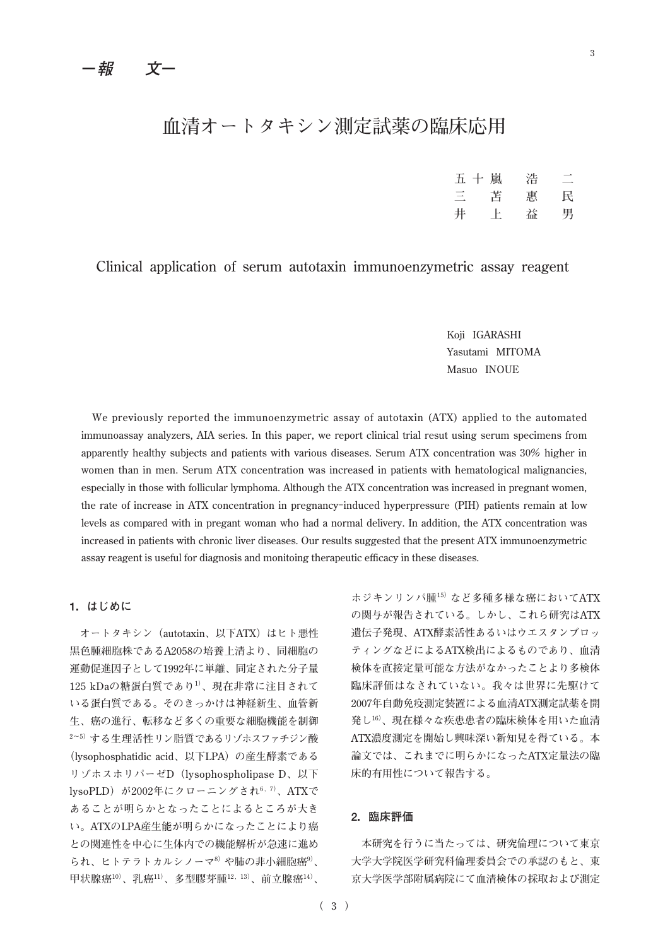# **血清オートタキシン測定試薬の臨床応用**

| 五十嵐 |    | 浩 |   |
|-----|----|---|---|
| 三   | 苫  | 惠 | 民 |
| 井   | Ŀ. | 益 | 男 |

# **Clinical application of serum autotaxin immunoenzymetric assay reagent**

**Koji IGARASHI Yasutami MITOMA Masuo INOUE**

**We previously reported the immunoenzymetric assay of autotaxin (ATX) applied to the automated immunoassay analyzers, AIA series. In this paper, we report clinical trial resut using serum specimens from apparently healthy subjects and patients with various diseases. Serum ATX concentration was 30% higher in women than in men. Serum ATX concentration was increased in patients with hematological malignancies, especially in those with follicular lymphoma. Although the ATX concentration was increased in pregnant women, the rate of increase in ATX concentration in pregnancy-induced hyperpressure (PIH) patients remain at low levels as compared with in pregant woman who had a normal delivery. In addition, the ATX concentration was increased in patients with chronic liver diseases. Our results suggested that the present ATX immunoenzymetric assay reagent is useful for diagnosis and monitoing therapeutic efficacy in these diseases.**

# **1.はじめに**

**オートタキシン(autotaxin、以下ATX)はヒト悪性 黒色腫細胞株であるA2058の培養上清より、同細胞の 運動促進因子として1992年に単離、同定された分子量 125 kDaの糖蛋白質であり1)、現在非常に注目されて いる蛋白質である。そのきっかけは神経新生、血管新 生、癌の進行、転移など多くの重要な細胞機能を制御 2~5)する生理活性リン脂質であるリゾホスファチジン酸 (lysophosphatidic acid、以下LPA)の産生酵素である リゾホスホリパーゼD(lysophospholipase D、以下 lysoPLD)が2002年にクローニングされ6,7)、ATXで あることが明らかとなったことによるところが大き い。ATXのLPA産生能が明らかになったことにより癌 との関連性を中心に生体内での機能解析が急速に進め られ、ヒトテラトカルシノーマ8)や肺の非小細胞癌9)、 甲状腺癌10)、乳癌11)、多型膠芽腫12,13)、前立腺癌14)、**

**ホジキンリンパ腫15)など多種多様な癌においてATX の関与が報告されている。しかし、これら研究はATX 遺伝子発現、ATX酵素活性あるいはウエスタンブロッ ティングなどによるATX検出によるものであり、血清 検体を直接定量可能な方法がなかったことより多検体 臨床評価はなされていない。我々は世界に先駆けて 2007年自動免疫測定装置による血清ATX測定試薬を開 発し16)、現在様々な疾患患者の臨床検体を用いた血清 ATX濃度測定を開始し興味深い新知見を得ている。本 論文では、これまでに明らかになったATX定量法の臨 床的有用性について報告する。**

## **2.臨床評価**

**本研究を行うに当たっては、研究倫理について東京 大学大学院医学研究科倫理委員会での承認のもと、東 京大学医学部附属病院にて血清検体の採取および測定**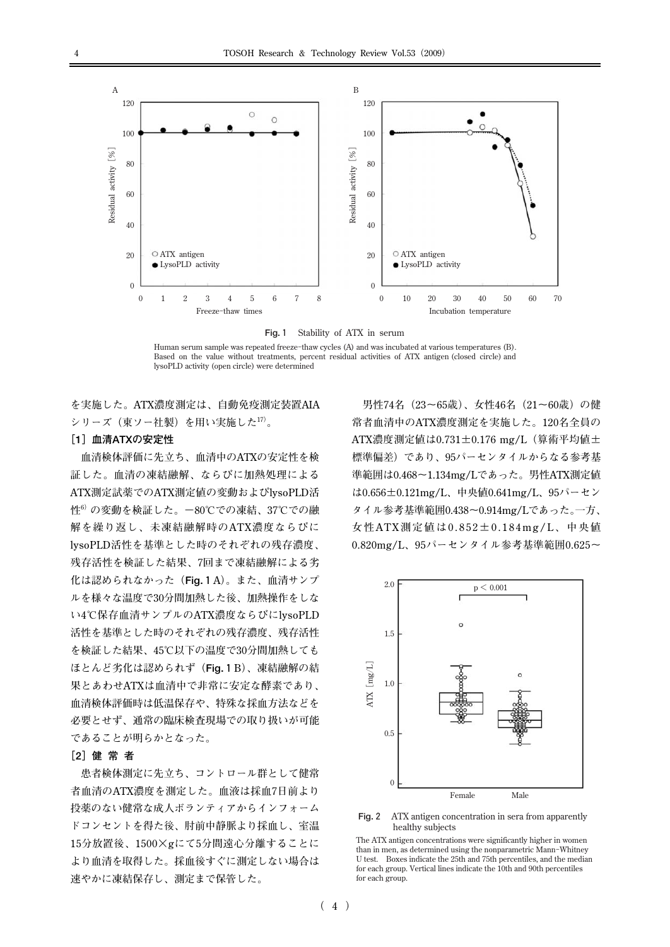

**Fig.1 Stability of ATX in serum**

**Human serum sample was repeated freeze-thaw cycles (A) and was incubated at various temperatures (B). Based on the value without treatments, percent residual activities of ATX antigen (closed circle) and lysoPLD activity (open circle) were determined**

**を実施した。ATX濃度測定は、自動免疫測定装置AIA シリーズ(東ソー社製)を用い実施した17)。**

## **[1]血清ATXの安定性**

**血清検体評価に先立ち、血清中のATXの安定性を検 証した。血清の凍結融解、ならびに加熱処理による ATX測定試薬でのATX測定値の変動およびlysoPLD活** 性<sup>6)</sup> の変動を検証した。一80℃での凍結、37℃での融 **解を繰り返し、未凍結融解時のATX濃度ならびに lysoPLD活性を基準とした時のそれぞれの残存濃度、 残存活性を検証した結果、7回まで凍結融解による劣 化は認められなかった(Fig.1A)。また、血清サンプ ルを様々な温度で30分間加熱した後、加熱操作をしな い4℃保存血清サンプルのATX濃度ならびにlysoPLD 活性を基準とした時のそれぞれの残存濃度、残存活性 を検証した結果、45℃以下の温度で30分間加熱しても ほとんど劣化は認められず(Fig.1B)、凍結融解の結 果とあわせATXは血清中で非常に安定な酵素であり、 血清検体評価時は低温保存や、特殊な採血方法などを 必要とせず、通常の臨床検査現場での取り扱いが可能 であることが明らかとなった。**

### **[2]健 常 者**

**患者検体測定に先立ち、コントロール群として健常 者血清のATX濃度を測定した。血液は採血7日前より 投薬のない健常な成人ボランティアからインフォーム ドコンセントを得た後、肘前中静脈より採血し、室温 15分放置後、1500×gにて5分間遠心分離することに より血清を取得した。採血後すぐに測定しない場合は 速やかに凍結保存し、測定まで保管した。**

**男性74名(23~65歳)、女性46名(21~60歳)の健 常者血清中のATX濃度測定を実施した。120名全員の ATX濃度測定値は0.731±0.176 mg/L(算術平均値± 標準偏差)であり、95パーセンタイルからなる参考基 準範囲は0.468~1.134mg/Lであった。男性ATX測定値 は0.656±0.121mg/L、中央値0.641mg/L、95パーセン タイル参考基準範囲0.438~0.914mg/Lであった。一方、 女性ATX測定値は0.852±0.184mg/L、中央値 0.820mg/L、95パーセンタイル参考基準範囲0.625~**



**Fig.2 ATX antigen concentration in sera from apparently healthy subjects** 

**The ATX antigen concentrations were significantly higher in women than in men, as determined using the nonparametric Mann-Whitney U test. Boxes indicate the 25th and 75th percentiles, and the median for each group. Vertical lines indicate the 10th and 90th percentiles for each group.**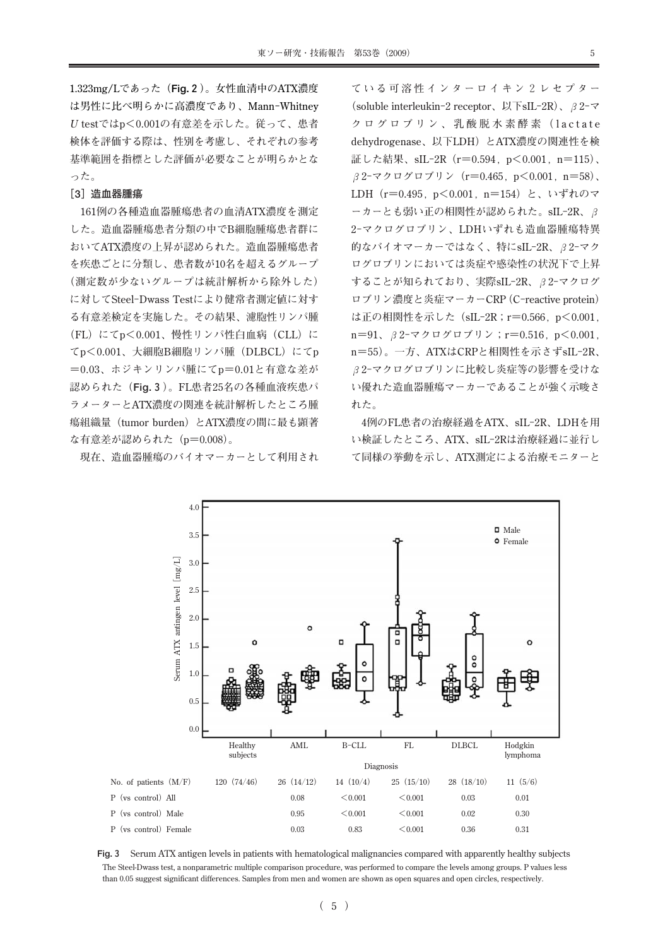**1.323mg/Lであった(Fig.2)。女性血清中のATX濃度 は男性に比べ明らかに高濃度であり、Mann-Whitney U testではp<0.001の有意差を示した。従って、患者 検体を評価する際は、性別を考慮し、それぞれの参考 基準範囲を指標とした評価が必要なことが明らかとな った。**

#### **[3]造血器腫瘍**

**161例の各種造血器腫瘍患者の血清ATX濃度を測定 した。造血器腫瘍患者分類の中でB細胞腫瘍患者群に おいてATX濃度の上昇が認められた。造血器腫瘍患者 を疾患ごとに分類し、患者数が10名を超えるグループ (測定数が少ないグループは統計解析から除外した) に対してSteel-Dwass Testにより健常者測定値に対す る有意差検定を実施した。その結果、濾胞性リンパ腫 (FL)にてp<0.001、慢性リンパ性白血病(CLL)に てp<0.001、大細胞B細胞リンパ腫(DLBCL)にてp =0.03、ホジキンリンパ腫にてp=0.01と有意な差が 認められた(Fig.3)。FL患者25名の各種血液疾患パ ラメーターとATX濃度の関連を統計解析したところ腫 瘍組織量(tumor burden)とATX濃度の間に最も顕著 な有意差が認められた(p=0.008)。**

**現在、造血器腫瘍のバイオマーカーとして利用され**

**ている可溶性インターロイキン2レセプター (soluble interleukin-2 receptor、以下sIL-2R)、β2-マ クログロブリン、乳酸脱水素酵素(lactate dehydrogenase、以下LDH)とATX濃度の関連性を検 証した結果、sIL-2R(r=0.594,p<0.001,n=115)、 β2-マクログロブリン(r=0.465,p<0.001,n=58)、 LDH(r=0.495,p<0.001,n=154)と、いずれのマ ーカーとも弱い正の相関性が認められた。sIL-2R、β 2-マクログロブリン、LDHいずれも造血器腫瘍特異 的なバイオマーカーではなく、特にsIL-2R、β2-マク ログロブリンにおいては炎症や感染性の状況下で上昇 することが知られており、実際sIL-2R、β2-マクログ ロブリン濃度と炎症マーカーCRP(C-reactive protein) は正の相関性を示した(sIL-2R;r=0.566,p<0.001, n=91、β2-マクログロブリン;r=0.516,p<0.001, n=55)。一方、ATXはCRPと相関性を示さずsIL-2R、 β2-マクログロブリンに比較し炎症等の影響を受けな い優れた造血器腫瘍マーカーであることが強く示唆さ れた。**

**4例のFL患者の治療経過をATX、sIL-2R、LDHを用 い検証したところ、ATX、sIL-2Rは治療経過に並行し て同様の挙動を示し、ATX測定による治療モニターと**



**Fig.3 Serum ATX antigen levels in patients with hematological malignancies compared with apparently healthy subjects The Steel-Dwass test, a nonparametric multiple comparison procedure, was performed to compare the levels among groups. P values less than 0.05 suggest significant differences. Samples from men and women are shown as open squares and open circles, respectively.**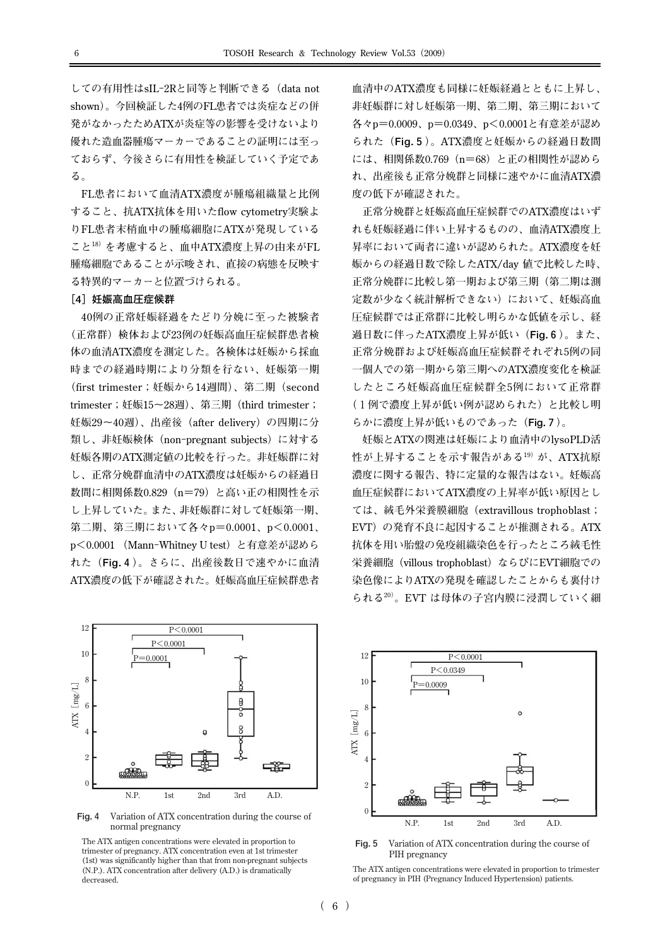**しての有用性はsIL-2Rと同等と判断できる(data not shown)。今回検証した4例のFL患者では炎症などの併 発がなかったためATXが炎症等の影響を受けないより 優れた造血器腫瘍マーカーであることの証明には至っ ておらず、今後さらに有用性を検証していく予定であ る。**

**FL患者において血清ATX濃度が腫瘍組織量と比例 すること、抗ATX抗体を用いたflow cytometry実験よ りFL患者末梢血中の腫瘍細胞にATXが発現している こと18)を考慮すると、血中ATX濃度上昇の由来がFL 腫瘍細胞であることが示唆され、直接の病態を反映す る特異的マーカーと位置づけられる。**

#### **[4]妊娠高血圧症候群**

**40例の正常妊娠経過をたどり分娩に至った被験者 (正常群)検体および23例の妊娠高血圧症候群患者検 体の血清ATX濃度を測定した。各検体は妊娠から採血 時までの経過時期により分類を行ない、妊娠第一期 (first trimester;妊娠から14週間)、第二期(second trimester;妊娠15~28週)、第三期(third trimester; 妊娠29~40週)、出産後(after delivery)の四期に分 類し、非妊娠検体(non-pregnant subjects)に対する 妊娠各期のATX測定値の比較を行った。非妊娠群に対 し、正常分娩群血清中のATX濃度は妊娠からの経過日 数間に相関係数0.829(n=79)と高い正の相関性を示 し上昇していた。また、非妊娠群に対して妊娠第一期、 第二期、第三期において各々p=0.0001、p<0.0001、 p<0.0001 (Mann-Whitney U test)と有意差が認めら れた(Fig.4)。さらに、出産後数日で速やかに血清 ATX濃度の低下が確認された。妊娠高血圧症候群患者**



**Fig.4 Variation of ATX concentration during the course of normal pregnancy** 

**The ATX antigen concentrations were elevated in proportion to trimester of pregnancy. ATX concentration even at 1st trimester (1st) was significantly higher than that from non-pregnant subjects (N.P.). ATX concentration after delivery (A.D.) is dramatically decreased.**

**血清中のATX濃度も同様に妊娠経過とともに上昇し、 非妊娠群に対し妊娠第一期、第二期、第三期において 各々p=0.0009、p=0.0349、p<0.0001と有意差が認め られた(Fig.5)。ATX濃度と妊娠からの経過日数間 には、相関係数0.769(n=68)と正の相関性が認めら れ、出産後も正常分娩群と同様に速やかに血清ATX濃 度の低下が確認された。**

**正常分娩群と妊娠高血圧症候群でのATX濃度はいず れも妊娠経過に伴い上昇するものの、血清ATX濃度上 昇率において両者に違いが認められた。ATX濃度を妊 娠からの経過日数で除したATX/day 値で比較した時、 正常分娩群に比較し第一期および第三期(第二期は測 定数が少なく統計解析できない)において、妊娠高血 圧症候群では正常群に比較し明らかな低値を示し、経 過日数に伴ったATX濃度上昇が低い(Fig.6)。また、 正常分娩群および妊娠高血圧症候群それぞれ5例の同 一個人での第一期から第三期へのATX濃度変化を検証 したところ妊娠高血圧症候群全5例において正常群 (1例で濃度上昇が低い例が認められた)と比較し明 らかに濃度上昇が低いものであった(Fig.7)。**

**妊娠とATXの関連は妊娠により血清中のlysoPLD活** 性が上昇することを示す報告がある<sup>19)</sup>が、ATX抗原 **濃度に関する報告、特に定量的な報告はない。妊娠高 血圧症候群においてATX濃度の上昇率が低い原因とし ては、絨毛外栄養膜細胞(extravillous trophoblast; EVT)の発育不良に起因することが推測される。ATX 抗体を用い胎盤の免疫組織染色を行ったところ絨毛性 栄養細胞(villous trophoblast)ならびにEVT細胞での 染色像によりATXの発現を確認したことからも裏付け られる20)。EVT は母体の子宮内膜に浸潤していく細**



**Fig.5 Variation of ATX concentration during the course of**  PIH pregnancy

**The ATX antigen concentrations were elevated in proportion to trimester of pregnancy in PIH (Pregnancy Induced Hypertension) patients.**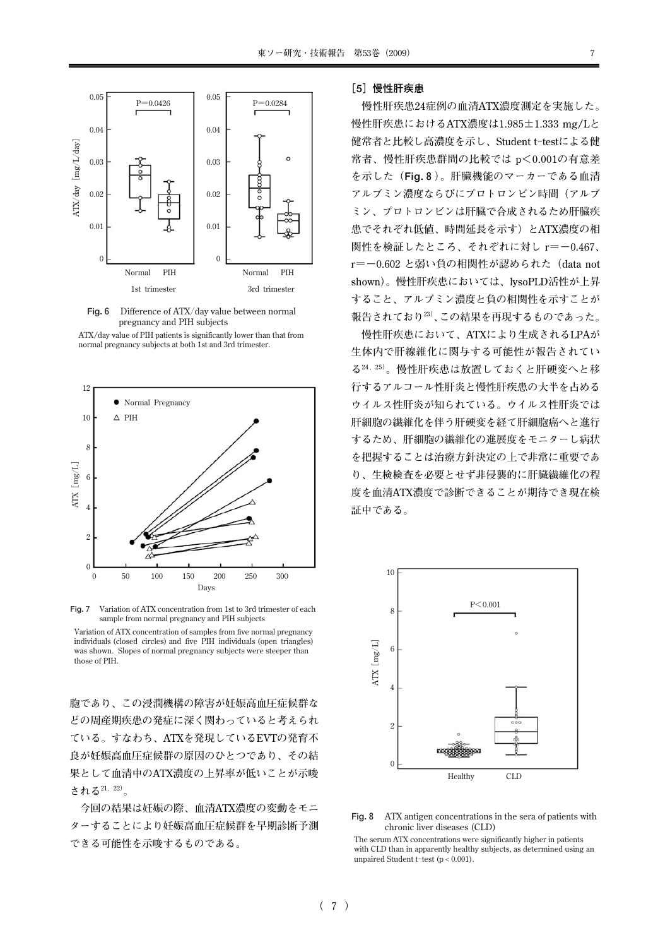

**Fig.6 Difference of ATX/day value between normal pregnancy and PIH subjects** 

**ATX/day value of PIH patients is significantly lower than that from normal pregnancy subjects at both 1st and 3rd trimester.** 



**Fig.7 Variation of ATX concentration from 1st to 3rd trimester of each** sample from normal pregnancy and PIH subjects

**Variation of ATX concentration of samples from five normal pregnancy individuals (closed circles) and five PIH individuals (open triangles) was shown. Slopes of normal pregnancy subjects were steeper than those of PIH.**

**胞であり、この浸潤機構の障害が妊娠高血圧症候群な どの周産期疾患の発症に深く関わっていると考えられ ている。すなわち、ATXを発現しているEVTの発育不 良が妊娠高血圧症候群の原因のひとつであり、その結 果として血清中のATX濃度の上昇率が低いことが示唆 される21,22)。**

**今回の結果は妊娠の際、血清ATX濃度の変動をモニ ターすることにより妊娠高血圧症候群を早期診断予測 できる可能性を示唆するものである。**

#### **[5]慢性肝疾患**

**慢性肝疾患24症例の血清ATX濃度測定を実施した。 慢性肝疾患におけるATX濃度は1.985±1.333 mg/Lと 健常者と比較し高濃度を示し、Student t-testによる健 常者、慢性肝疾患群間の比較では p<0.001の有意差 を示した(Fig.8)。肝臓機能のマーカーである血清 アルブミン濃度ならびにプロトロンビン時間(アルブ ミン、プロトロンビンは肝臓で合成されるため肝臓疾 患でそれぞれ低値、時間延長を示す)とATX濃度の相 関性を検証したところ、それぞれに対し r=-0.467、 r=-0.602 と弱い負の相関性が認められた(data not shown)。慢性肝疾患においては、lysoPLD活性が上昇 すること、アルブミン濃度と負の相関性を示すことが 報告されており23)、この結果を再現するものであった。**

**慢性肝疾患において、ATXにより生成されるLPAが 生体内で肝線維化に関与する可能性が報告されてい る24,25)。慢性肝疾患は放置しておくと肝硬変へと移 行するアルコール性肝炎と慢性肝疾患の大半を占める ウイルス性肝炎が知られている。ウイルス性肝炎では 肝細胞の繊維化を伴う肝硬変を経て肝細胞癌へと進行 するため、肝細胞の繊維化の進展度をモニターし病状 を把握することは治療方針決定の上で非常に重要であ り、生検検査を必要とせず非侵襲的に肝臓繊維化の程 度を血清ATX濃度で診断できることが期待でき現在検 証中である。**



**Fig.8 ATX antigen concentrations in the sera of patients with chronic liver diseases (CLD)** 

**The serum ATX concentrations were significantly higher in patients with CLD than in apparently healthy subjects, as determined using an unpaired Student t-test (p < 0.001).**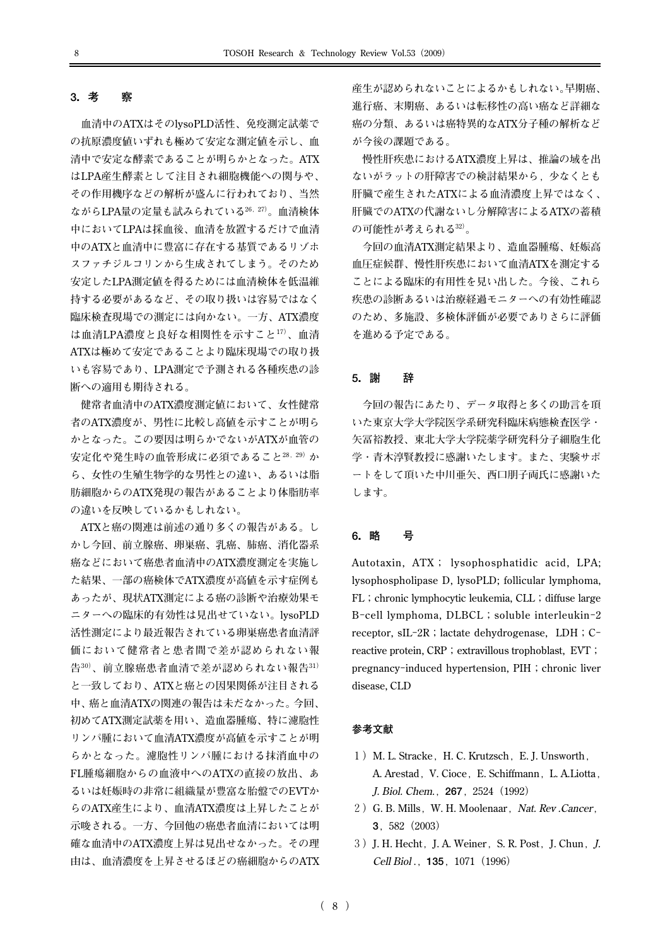## **3.考 察**

**血清中のATXはそのlysoPLD活性、免疫測定試薬で の抗原濃度値いずれも極めて安定な測定値を示し、血 清中で安定な酵素であることが明らかとなった。ATX はLPA産生酵素として注目され細胞機能への関与や、 その作用機序などの解析が盛んに行われており、当然 ながらLPA量の定量も試みられている26,27)。血清検体 中においてLPAは採血後、血清を放置するだけで血清 中のATXと血清中に豊富に存在する基質であるリゾホ スファチジルコリンから生成されてしまう。そのため 安定したLPA測定値を得るためには血清検体を低温維 持する必要があるなど、その取り扱いは容易ではなく 臨床検査現場での測定には向かない。一方、ATX濃度 は血清LPA濃度と良好な相関性を示すこと17)、血清 ATXは極めて安定であることより臨床現場での取り扱 いも容易であり、LPA測定で予測される各種疾患の診 断への適用も期待される。**

**健常者血清中のATX濃度測定値において、女性健常 者のATX濃度が、男性に比較し高値を示すことが明ら かとなった。この要因は明らかでないがATXが血管の 安定化や発生時の血管形成に必須であること28,29)か ら、女性の生殖生物学的な男性との違い、あるいは脂 肪細胞からのATX発現の報告があることより体脂肪率 の違いを反映しているかもしれない。**

**ATXと癌の関連は前述の通り多くの報告がある。し かし今回、前立腺癌、卵巣癌、乳癌、肺癌、消化器系 癌などにおいて癌患者血清中のATX濃度測定を実施し た結果、一部の癌検体でATX濃度が高値を示す症例も あったが、現状ATX測定による癌の診断や治療効果モ ニターへの臨床的有効性は見出せていない。lysoPLD 活性測定により最近報告されている卵巣癌患者血清評 価において健常者と患者間で差が認められない報 告30)、前立腺癌患者血清で差が認められない報告31) と一致しており、ATXと癌との因果関係が注目される 中、癌と血清ATXの関連の報告は未だなかった。今回、 初めてATX測定試薬を用い、造血器腫瘍、特に濾胞性 リンパ腫において血清ATX濃度が高値を示すことが明 らかとなった。濾胞性リンパ腫における抹消血中の FL腫瘍細胞からの血液中へのATXの直接の放出、あ るいは妊娠時の非常に組織量が豊富な胎盤でのEVTか らのATX産生により、血清ATX濃度は上昇したことが 示唆される。一方、今回他の癌患者血清においては明 確な血清中のATX濃度上昇は見出せなかった。その理 由は、血清濃度を上昇させるほどの癌細胞からのATX** **産生が認められないことによるかもしれない。早期癌、 進行癌、末期癌、あるいは転移性の高い癌など詳細な 癌の分類、あるいは癌特異的なATX分子種の解析など が今後の課題である。**

**慢性肝疾患におけるATX濃度上昇は、推論の域を出 ないがラットの肝障害での検討結果から,少なくとも 肝臓で産生されたATXによる血清濃度上昇ではなく、 肝臓でのATXの代謝ないし分解障害によるATXの蓄積 の可能性が考えられる32)。**

**今回の血清ATX測定結果より、造血器腫瘍、妊娠高 血圧症候群、慢性肝疾患において血清ATXを測定する ことによる臨床的有用性を見い出した。今後、これら 疾患の診断あるいは治療経過モニターへの有効性確認 のため、多施設、多検体評価が必要でありさらに評価 を進める予定である。**

#### **5.謝 辞**

**今回の報告にあたり、データ取得と多くの助言を頂 いた東京大学大学院医学系研究科臨床病態検査医学・ 矢冨裕教授、東北大学大学院薬学研究科分子細胞生化 学・青木淳賢教授に感謝いたします。また、実験サポ ートをして頂いた中川亜矢、西口朋子両氏に感謝いた します。**

# **6.略 号**

**Autotaxin, ATX; lysophosphatidic acid, LPA; lysophospholipase D, lysoPLD; follicular lymphoma, FL;chronic lymphocytic leukemia, CLL;diffuse large B-cell lymphoma, DLBCL;soluble interleukin-2** receptor, sIL-2R; lactate dehydrogenase, LDH; Creactive protein, CRP; extravillous trophoblast, EVT; pregnancy-induced hypertension, PIH; chronic liver **disease, CLD**

#### **参考文献**

- 1) M. L. Stracke, H. C. Krutzsch, E. J. Unsworth, **A. Arestad,V. Cioce,E. Schiffmann,L. A.Liotta, J. Biol. Chem.,267,2524(1992)**
- **2)G. B. Mills,W. H. Moolenaar,Nat. Rev .Cancer, 3,582(2003)**
- **3)J. H. Hecht,J. A. Weiner,S. R. Post,J. Chun,J. Cell Biol .,135,1071(1996)**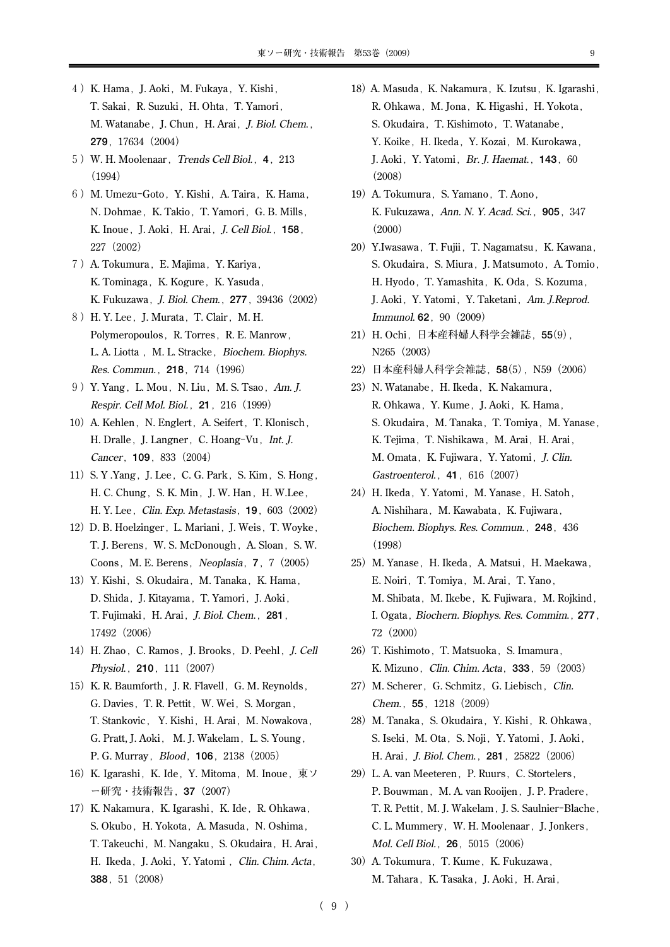- **4)K. Hama,J. Aoki,M. Fukaya,Y. Kishi, T. Sakai,R. Suzuki,H. Ohta,T. Yamori, M. Watanabe,J. Chun,H. Arai,J. Biol. Chem., 279,17634(2004)**
- **5)W. H. Moolenaar,Trends Cell Biol.,4,213 (1994)**
- **6)M. Umezu-Goto,Y. Kishi,A. Taira,K. Hama,** N. Dohmae, K. Takio, T. Yamori, G. B. Mills, **K. Inoue,J. Aoki,H. Arai,J. Cell Biol.,158, 227(2002)**
- **7)A. Tokumura,E. Majima,Y. Kariya,** K. Tominaga, K. Kogure, K. Yasuda, **K. Fukuzawa,J. Biol. Chem.,277,39436(2002)**
- 8) H. Y. Lee, J. Murata, T. Clair, M. H. Polymeropoulos, R. Torres, R. E. Manrow, L. A. Liotta, M. L. Stracke, Biochem. Biophys. **Res. Commun.,218,714(1996)**
- **9)Y. Yang,L. Mou,N. Liu,M. S. Tsao,Am. J. Respir. Cell Mol. Biol.,21,216(1999)**
- 10) A. Kehlen, N. Englert, A. Seifert, T. Klonisch, H. Dralle, J. Langner, C. Hoang-Vu, Int. J. **Cancer,109,833(2004)**
- **11)S. Y .Yang,J. Lee,C. G. Park,S. Kim,S. Hong,** H. C. Chung, S. K. Min, J. W. Han, H. W. Lee, **H. Y. Lee,Clin. Exp. Metastasis,19,603(2002)**
- 12) D. B. Hoelzinger, L. Mariani, J. Weis, T. Woyke, T. J. Berens, W. S. McDonough, A. Sloan, S. W. **Coons,M. E. Berens,Neoplasia,7,7(2005)**
- 13) Y. Kishi, S. Okudaira, M. Tanaka, K. Hama, **D. Shida,J. Kitayama,T. Yamori,J. Aoki, T. Fujimaki,H. Arai,J. Biol. Chem.,281, 17492(2006)**
- **14)H. Zhao,C. Ramos,J. Brooks,D. Peehl,J. Cell Physiol.,210,111(2007)**
- 15) K. R. Baumforth, J. R. Flavell, G. M. Reynolds, G. Davies, T. R. Pettit, W. Wei, S. Morgan, T. Stankovic, Y. Kishi, H. Arai, M. Nowakova, **G. Pratt, J. Aoki, M. J. Wakelam,L. S. Young, P. G. Murray,Blood,106,2138(2005)**
- 16) K. Igarashi, K. Ide, Y. Mitoma, M. Inoue, 東ソ **ー研究・技術報告,37(2007)**
- 17) K. Nakamura, K. Igarashi, K. Ide, R. Ohkawa, S. Okubo, H. Yokota, A. Masuda, N. Oshima, T. Takeuchi, M. Nangaku, S. Okudaira, H. Arai, **H. Ikeda,J. Aoki,Y. Yatomi ,Clin. Chim. Acta, 388,51(2008)**
- 18) A. Masuda, K. Nakamura, K. Izutsu, K. Igarashi, **R. Ohkawa,M. Jona,K. Higashi,H. Yokota,** S. Okudaira, T. Kishimoto, T. Watanabe, **Y. Koike,H. Ikeda,Y. Kozai,M. Kurokawa, J. Aoki,Y. Yatomi,Br. J. Haemat.,143,60 (2008)**
- 19) A. Tokumura, S. Yamano, T. Aono, **K. Fukuzawa,Ann. N. Y. Acad. Sci.,905,347 (2000)**
- **20)Y.Iwasawa,T. Fujii,T. Nagamatsu,K. Kawana,** S. Okudaira, S. Miura, J. Matsumoto, A. Tomio, **H. Hyodo,T. Yamashita,K. Oda,S. Kozuma, J. Aoki,Y. Yatomi,Y. Taketani,Am. J.Reprod. Immunol. 62,90(2009)**
- **21)H. Ochi,日本産科婦人科学会雑誌,55(9), N265(2003)**
- **22)日本産科婦人科学会雑誌,58(5),N59(2006)**
- **23)N. Watanabe,H. Ikeda,K. Nakamura, R. Ohkawa,Y. Kume,J. Aoki,K. Hama,** S. Okudaira, M. Tanaka, T. Tomiya, M. Yanase, K. Tejima, T. Nishikawa, M. Arai, H. Arai, M. Omata, K. Fujiwara, Y. Yatomi, *J. Clin.* **Gastroenterol.,41,616(2007)**
- 24) H. Ikeda, Y. Yatomi, M. Yanase, H. Satoh, **A. Nishihara,M. Kawabata,K. Fujiwara, Biochem. Biophys. Res. Commun.,248,436 (1998)**
- 25) M. Yanase, H. Ikeda, A. Matsui, H. Maekawa, E. Noiri, T. Tomiya, M. Arai, T. Yano, M. Shibata, M. Ikebe, K. Fujiwara, M. Rojkind, **I. Ogata,Biochern. Biophys. Res. Commim.,277, 72(2000)**
- 26) T. Kishimoto, T. Matsuoka, S. Imamura, **K. Mizuno,Clin. Chim. Acta,333,59(2003)**
- 27) M. Scherer, G. Schmitz, G. Liebisch, Clin. **Chem.,55,1218(2009)**
- 28) M. Tanaka, S. Okudaira, Y. Kishi, R. Ohkawa, S. Iseki, M. Ota, S. Noji, Y. Yatomi, J. Aoki, **H. Arai,J. Biol. Chem.,281,25822(2006)**
- **29)L. A. van Meeteren,P. Ruurs,C. Stortelers,** P. Bouwman, M. A. van Rooijen, J. P. Pradere, **T. R. Pettit,M. J. Wakelam,J. S. Saulnier-Blache, C. L. Mummery,W. H. Moolenaar,J. Jonkers, Mol. Cell Biol.,26,5015(2006)**
- **30)A. Tokumura,T. Kume,K. Fukuzawa,** M. Tahara, K. Tasaka, J. Aoki, H. Arai,